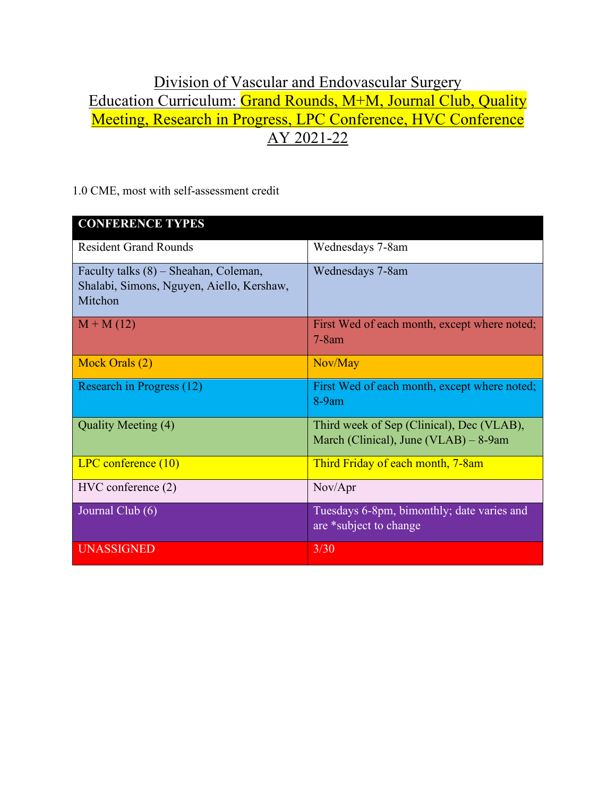## Division of Vascular and Endovascular Surgery Education Curriculum: Grand Rounds, M+M, Journal Club, Quality Meeting, Research in Progress, LPC Conference, HVC Conference AY 2021-22

1.0 CME, most with self-assessment credit

| <b>CONFERENCE TYPES</b>                                                                         |                                                                                    |
|-------------------------------------------------------------------------------------------------|------------------------------------------------------------------------------------|
| <b>Resident Grand Rounds</b>                                                                    | Wednesdays 7-8am                                                                   |
| Faculty talks $(8)$ – Sheahan, Coleman,<br>Shalabi, Simons, Nguyen, Aiello, Kershaw,<br>Mitchon | Wednesdays 7-8am                                                                   |
| $M + M(12)$                                                                                     | First Wed of each month, except where noted;<br>$7-8am$                            |
| Mock Orals (2)                                                                                  | Nov/May                                                                            |
| Research in Progress (12)                                                                       | First Wed of each month, except where noted;<br>$8-9am$                            |
| Quality Meeting (4)                                                                             | Third week of Sep (Clinical), Dec (VLAB),<br>March (Clinical), June (VLAB) – 8-9am |
| LPC conference (10)                                                                             | Third Friday of each month, 7-8am                                                  |
| $HVC$ conference $(2)$                                                                          | Nov/Apr                                                                            |
| Journal Club (6)                                                                                | Tuesdays 6-8pm, bimonthly; date varies and<br>are *subject to change               |
| <b>UNASSIGNED</b>                                                                               | 3/30                                                                               |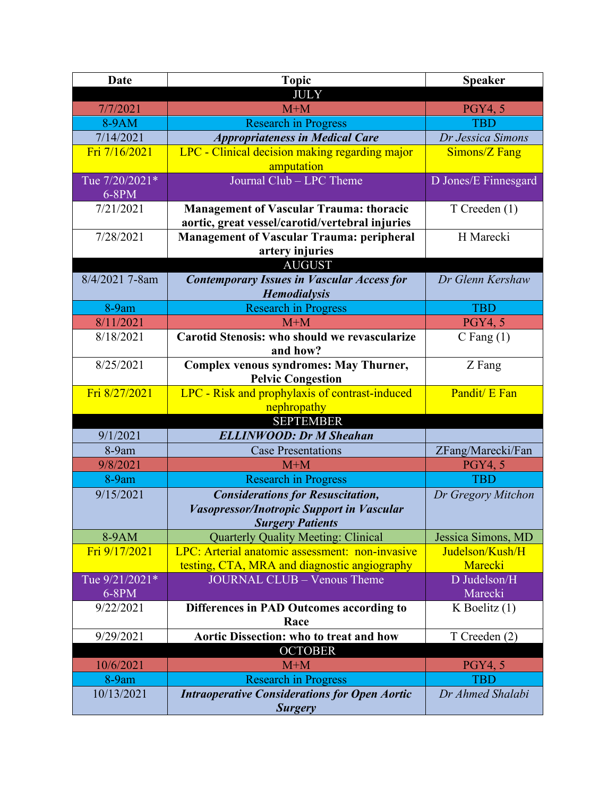| Date           | <b>Topic</b>                                                              | <b>Speaker</b>       |
|----------------|---------------------------------------------------------------------------|----------------------|
|                | <b>JULY</b>                                                               |                      |
| 7/7/2021       | $M+M$                                                                     | <b>PGY4, 5</b>       |
| 8-9AM          | <b>Research in Progress</b>                                               | <b>TBD</b>           |
| 7/14/2021      | <b>Appropriateness in Medical Care</b>                                    | Dr Jessica Simons    |
| Fri 7/16/2021  | LPC - Clinical decision making regarding major                            | Simons/Z Fang        |
|                | amputation                                                                |                      |
| Tue 7/20/2021* | Journal Club - LPC Theme                                                  | D Jones/E Finnesgard |
| $6-8PM$        |                                                                           |                      |
| 7/21/2021      | <b>Management of Vascular Trauma: thoracic</b>                            | T Creeden (1)        |
|                | aortic, great vessel/carotid/vertebral injuries                           |                      |
| 7/28/2021      | <b>Management of Vascular Trauma: peripheral</b>                          | H Marecki            |
|                | artery injuries                                                           |                      |
| 8/4/2021 7-8am | <b>AUGUST</b>                                                             | Dr Glenn Kershaw     |
|                | <b>Contemporary Issues in Vascular Access for</b><br><b>Hemodialysis</b>  |                      |
| 8-9am          | <b>Research in Progress</b>                                               | <b>TBD</b>           |
| 8/11/2021      | $M+M$                                                                     | <b>PGY4, 5</b>       |
| 8/18/2021      | <b>Carotid Stenosis: who should we revascularize</b><br>and how?          | C Fang $(1)$         |
| 8/25/2021      | <b>Complex venous syndromes: May Thurner,</b><br><b>Pelvic Congestion</b> | Z Fang               |
| Fri 8/27/2021  | LPC - Risk and prophylaxis of contrast-induced                            | Pandit/ E Fan        |
|                | nephropathy                                                               |                      |
|                | <b>SEPTEMBER</b>                                                          |                      |
| 9/1/2021       | <b>ELLINWOOD: Dr M Sheahan</b>                                            |                      |
| 8-9am          | <b>Case Presentations</b>                                                 | ZFang/Marecki/Fan    |
| 9/8/2021       | $M+M$                                                                     | <b>PGY4, 5</b>       |
| 8-9am          | <b>Research in Progress</b>                                               | <b>TBD</b>           |
| 9/15/2021      | <b>Considerations for Resuscitation,</b>                                  | Dr Gregory Mitchon   |
|                | Vasopressor/Inotropic Support in Vascular                                 |                      |
|                | <b>Surgery Patients</b>                                                   |                      |
| 8-9AM          | <b>Quarterly Quality Meeting: Clinical</b>                                | Jessica Simons, MD   |
| Fri 9/17/2021  | LPC: Arterial anatomic assessment: non-invasive                           | Judelson/Kush/H      |
|                | testing, CTA, MRA and diagnostic angiography                              | Marecki              |
| Tue 9/21/2021* | <b>JOURNAL CLUB - Venous Theme</b>                                        | D Judelson/H         |
| 6-8PM          |                                                                           | Marecki              |
| 9/22/2021      | Differences in PAD Outcomes according to<br>Race                          | $K$ Boelitz $(1)$    |
| 9/29/2021      | Aortic Dissection: who to treat and how                                   | T Creeden (2)        |
| <b>OCTOBER</b> |                                                                           |                      |
| 10/6/2021      | $M+M$                                                                     | <b>PGY4, 5</b>       |
| 8-9am          | <b>Research in Progress</b>                                               | <b>TBD</b>           |
| 10/13/2021     | <b>Intraoperative Considerations for Open Aortic</b>                      | Dr Ahmed Shalabi     |
|                | <b>Surgery</b>                                                            |                      |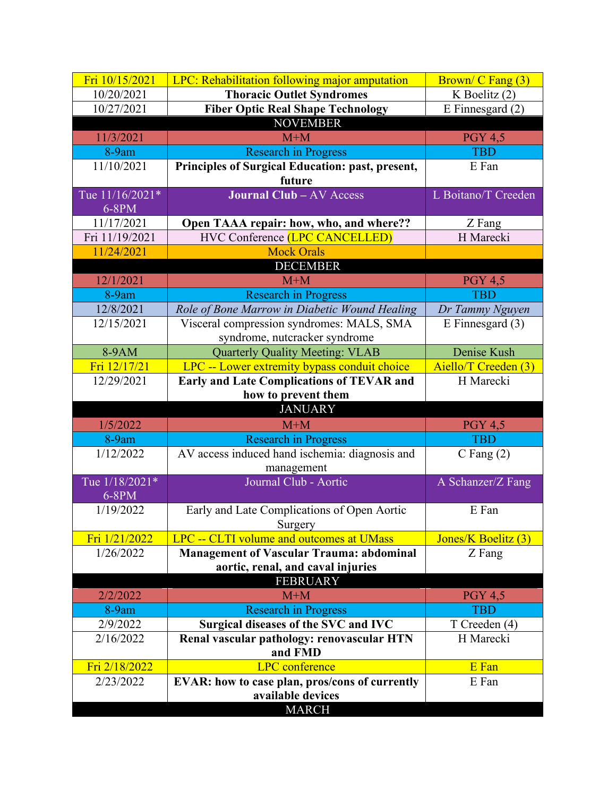| Fri 10/15/2021                    | LPC: Rehabilitation following major amputation   | Brown/ C Fang (3)    |  |
|-----------------------------------|--------------------------------------------------|----------------------|--|
| 10/20/2021                        | <b>Thoracic Outlet Syndromes</b>                 | K Boelitz $(2)$      |  |
| 10/27/2021                        | <b>Fiber Optic Real Shape Technology</b>         | E Finnesgard $(2)$   |  |
| <b>NOVEMBER</b>                   |                                                  |                      |  |
| 11/3/2021                         | $M+M$                                            | <b>PGY 4,5</b>       |  |
| 8-9am                             | <b>Research in Progress</b>                      | <b>TBD</b>           |  |
| 11/10/2021                        | Principles of Surgical Education: past, present, | E Fan                |  |
|                                   | future                                           |                      |  |
| Tue 11/16/2021*                   | <b>Journal Club - AV Access</b>                  | L Boitano/T Creeden  |  |
| $6-8PM$                           |                                                  |                      |  |
| 11/17/2021                        | Open TAAA repair: how, who, and where??          | Z Fang               |  |
| Fri 11/19/2021                    | HVC Conference (LPC CANCELLED)                   | H Marecki            |  |
| 11/24/2021                        | <b>Mock Orals</b>                                |                      |  |
|                                   | <b>DECEMBER</b>                                  |                      |  |
| 12/1/2021                         | $M+M$                                            | <b>PGY 4,5</b>       |  |
| 8-9am                             | <b>Research in Progress</b>                      | <b>TBD</b>           |  |
| 12/8/2021                         | Role of Bone Marrow in Diabetic Wound Healing    | Dr Tammy Nguyen      |  |
| 12/15/2021                        | Visceral compression syndromes: MALS, SMA        | $E$ Finnesgard $(3)$ |  |
|                                   | syndrome, nutcracker syndrome                    |                      |  |
| 8-9AM                             | <b>Quarterly Quality Meeting: VLAB</b>           | Denise Kush          |  |
| Fri 12/17/21                      | LPC -- Lower extremity bypass conduit choice     | Aiello/T Creeden (3) |  |
| 12/29/2021                        | <b>Early and Late Complications of TEVAR and</b> | H Marecki            |  |
|                                   | how to prevent them                              |                      |  |
|                                   | <b>JANUARY</b>                                   |                      |  |
| 1/5/2022                          | $M+M$                                            | <b>PGY 4,5</b>       |  |
| 8-9am                             | <b>Research in Progress</b>                      | <b>TBD</b>           |  |
| 1/12/2022                         | AV access induced hand ischemia: diagnosis and   | $C$ Fang $(2)$       |  |
|                                   | management                                       |                      |  |
| Tue 1/18/2021*                    | Journal Club - Aortic                            | A Schanzer/Z Fang    |  |
| 6-8PM                             |                                                  |                      |  |
| 1/19/2022                         | Early and Late Complications of Open Aortic      | E Fan                |  |
|                                   | Surgery                                          |                      |  |
| Fri 1/21/2022                     | LPC -- CLTI volume and outcomes at UMass         | Jones/K Boelitz (3)  |  |
| 1/26/2022                         | <b>Management of Vascular Trauma: abdominal</b>  | Z Fang               |  |
| aortic, renal, and caval injuries |                                                  |                      |  |
|                                   | <b>FEBRUARY</b>                                  |                      |  |
| 2/2/2022                          | $M+M$                                            | <b>PGY 4,5</b>       |  |
| 8-9am                             | <b>Research in Progress</b>                      | <b>TBD</b>           |  |
| 2/9/2022                          | Surgical diseases of the SVC and IVC             | T Creeden (4)        |  |
| 2/16/2022                         | Renal vascular pathology: renovascular HTN       | H Marecki            |  |
| Fri 2/18/2022                     | and FMD<br><b>LPC</b> conference                 | E Fan                |  |
|                                   |                                                  |                      |  |
|                                   |                                                  |                      |  |
| 2/23/2022                         | EVAR: how to case plan, pros/cons of currently   | E Fan                |  |
|                                   | available devices<br><b>MARCH</b>                |                      |  |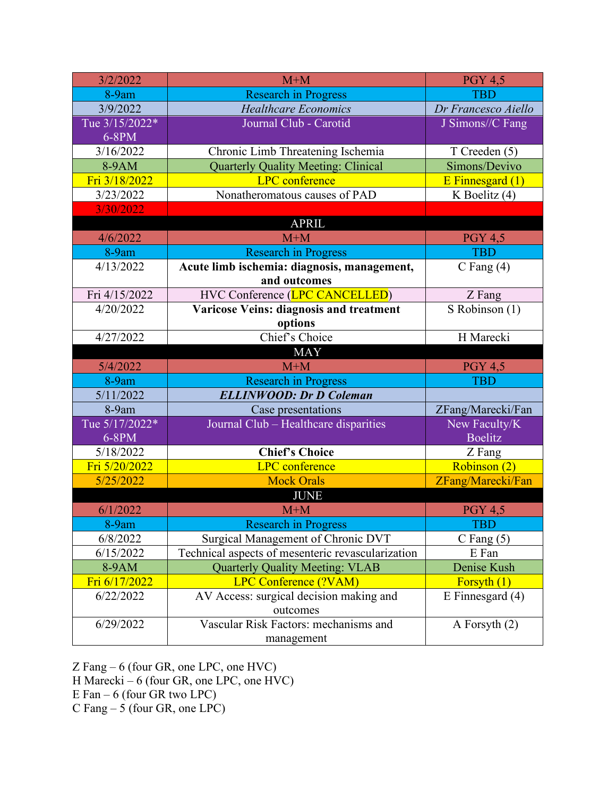| 3/2/2022       | $M+M$                                             | <b>PGY 4,5</b>       |
|----------------|---------------------------------------------------|----------------------|
| 8-9am          | <b>Research in Progress</b>                       | <b>TBD</b>           |
| 3/9/2022       | <b>Healthcare Economics</b>                       | Dr Francesco Aiello  |
| Tue 3/15/2022* | Journal Club - Carotid                            | J Simons//C Fang     |
| $6-8PM$        |                                                   |                      |
| 3/16/2022      | Chronic Limb Threatening Ischemia                 | T Creeden (5)        |
| 8-9AM          | <b>Quarterly Quality Meeting: Clinical</b>        | Simons/Devivo        |
| Fri 3/18/2022  | <b>LPC</b> conference                             | $E$ Finnesgard $(1)$ |
| 3/23/2022      | Nonatheromatous causes of PAD                     | K Boelitz (4)        |
| 3/30/2022      |                                                   |                      |
|                | <b>APRIL</b>                                      |                      |
| 4/6/2022       | $M+M$                                             | <b>PGY 4,5</b>       |
| 8-9am          | <b>Research in Progress</b>                       | <b>TBD</b>           |
| 4/13/2022      | Acute limb ischemia: diagnosis, management,       | C Fang $(4)$         |
|                | and outcomes                                      |                      |
| Fri 4/15/2022  | HVC Conference (LPC CANCELLED)                    | Z Fang               |
| 4/20/2022      | Varicose Veins: diagnosis and treatment           | S Robinson (1)       |
|                | options                                           |                      |
| 4/27/2022      | Chief's Choice                                    | H Marecki            |
|                | <b>MAY</b>                                        |                      |
| 5/4/2022       | $M+M$                                             | <b>PGY 4,5</b>       |
| 8-9am          | <b>Research in Progress</b>                       | <b>TBD</b>           |
| 5/11/2022      | <b>ELLINWOOD: Dr D Coleman</b>                    |                      |
| 8-9am          | Case presentations                                | ZFang/Marecki/Fan    |
| Tue 5/17/2022* | Journal Club - Healthcare disparities             | New Faculty/K        |
| 6-8PM          |                                                   | <b>Boelitz</b>       |
| 5/18/2022      | <b>Chief's Choice</b>                             | Z Fang               |
| Fri 5/20/2022  | <b>LPC</b> conference                             | Robinson (2)         |
| 5/25/2022      | <b>Mock Orals</b>                                 | ZFang/Marecki/Fan    |
| <b>JUNE</b>    |                                                   |                      |
| 6/1/2022       | $M+M$                                             | <b>PGY 4,5</b>       |
| 8-9am          | <b>Research in Progress</b>                       | TBD                  |
| 6/8/2022       | Surgical Management of Chronic DVT                | $C$ Fang $(5)$       |
| 6/15/2022      | Technical aspects of mesenteric revascularization | E Fan                |
| 8-9AM          | <b>Quarterly Quality Meeting: VLAB</b>            | Denise Kush          |
| Fri 6/17/2022  | <b>LPC Conference (?VAM)</b>                      | Forsyth $(1)$        |
| 6/22/2022      | AV Access: surgical decision making and           | E Finnesgard $(4)$   |
|                | outcomes                                          |                      |
| 6/29/2022      | Vascular Risk Factors: mechanisms and             | A Forsyth $(2)$      |
|                | management                                        |                      |

Z Fang – 6 (four GR, one LPC, one HVC)

H Marecki – 6 (four GR, one LPC, one HVC)

E Fan – 6 (four GR two LPC)

C Fang – 5 (four GR, one LPC)